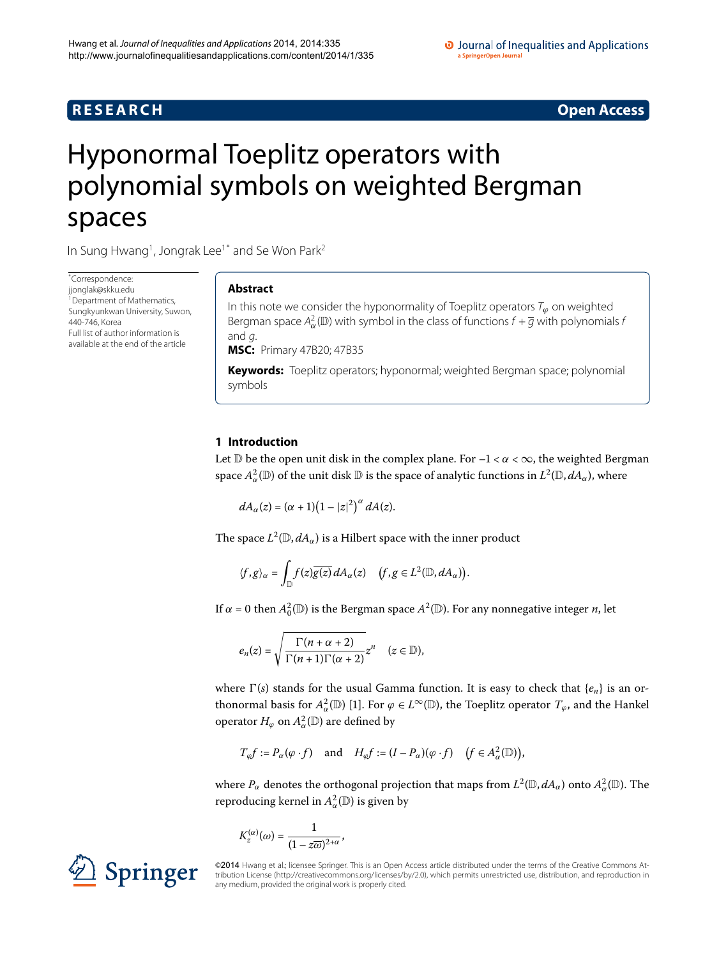# **R E S E A R C H Open Access**

# <span id="page-0-0"></span>Hyponormal Toeplitz operators with polynomial symbols on weighted Bergman spaces

In Sung Hwang<sup>[1](#page-6-0)</sup>, Jongrak Lee<sup>1[\\*](#page-0-0)</sup> and Se Won Park<sup>2</sup>

\* Correspondence: [jjonglak@skku.edu](mailto:jjonglak@skku.edu) <sup>1</sup> Department of Mathematics, Sungkyunkwan University, Suwon, 440-746, Korea Full list of author information is available at the end of the article

# **Abstract**

In this note we consider the hyponormality of Toeplitz operators T*<sup>ϕ</sup>* on weighted Bergman space  $A^2_{\alpha}(\mathbb{D})$  with symbol in the class of functions  $f + \overline{g}$  with polynomials *t* and g.

**MSC:** Primary 47B20; 47B35

**Keywords:** Toeplitz operators; hyponormal; weighted Bergman space; polynomial symbols

# **1 Introduction**

Let  $\mathbb D$  be the open unit disk in the complex plane. For  $-1 < \alpha < \infty$ , the weighted Bergman space  $A^2_\alpha(\mathbb{D})$  of the unit disk  $\mathbb D$  is the space of analytic functions in  $L^2(\mathbb{D}, dA_\alpha)$ , where

$$
dA_{\alpha}(z)=(\alpha+1)(1-|z|^2)^{\alpha} dA(z).
$$

The space  $L^2(\mathbb{D}, dA_\alpha)$  is a Hilbert space with the inner product

$$
\langle f,g\rangle_{\alpha}=\int_{\mathbb{D}}f(z)\overline{g(z)}\,dA_{\alpha}(z)\quad \big(f,g\in L^2(\mathbb{D}, dA_{\alpha})\big).
$$

If  $\alpha$  = 0 then  $A_0^2(\mathbb{D})$  is the Bergman space  $A^2(\mathbb{D})$ . For any nonnegative integer *n*, let

$$
e_n(z)=\sqrt{\frac{\Gamma(n+\alpha+2)}{\Gamma(n+1)\Gamma(\alpha+2)}}z^n\quad(z\in\mathbb{D}),
$$

where  $\Gamma(s)$  stands for the usual Gamma function. It is easy to check that  $\{e_n\}$  is an orthonormal basis for  $A^2_\alpha(\mathbb{D})$  [1]. For  $\varphi \in L^\infty(\mathbb{D})$ , the Toeplitz operator  $T_\varphi$ , and the Hankel operator  $H_{\varphi}$  on  $A^2_{\alpha}(\mathbb{D})$  are defined by

$$
T_\varphi f:=P_\alpha(\varphi\cdot f)\quad\text{ and}\quad H_\varphi f:=(I-P_\alpha)(\varphi\cdot f)\quad\big(f\in A^2_\alpha(\mathbb D)\big),
$$

where  $P_\alpha$  denotes the orthogonal projection that maps from  $L^2(\mathbb{D}, dA_\alpha)$  onto  $A^2_\alpha(\mathbb{D})$ . The reproducing kernel in  $A^2_\alpha(\mathbb{D})$  is given by

$$
K_z^{(\alpha)}(\omega) = \frac{1}{(1 - z\overline{\omega})^{2+\alpha}},
$$



©2014 Hwang et al.; licensee Springer. This is an Open Access article distributed under the terms of the Creative Commons Attribution License ([http://creativecommons.org/licenses/by/2.0\)](http://creativecommons.org/licenses/by/2.0), which permits unrestricted use, distribution, and reproduction in any medium, provided the original work is properly cited.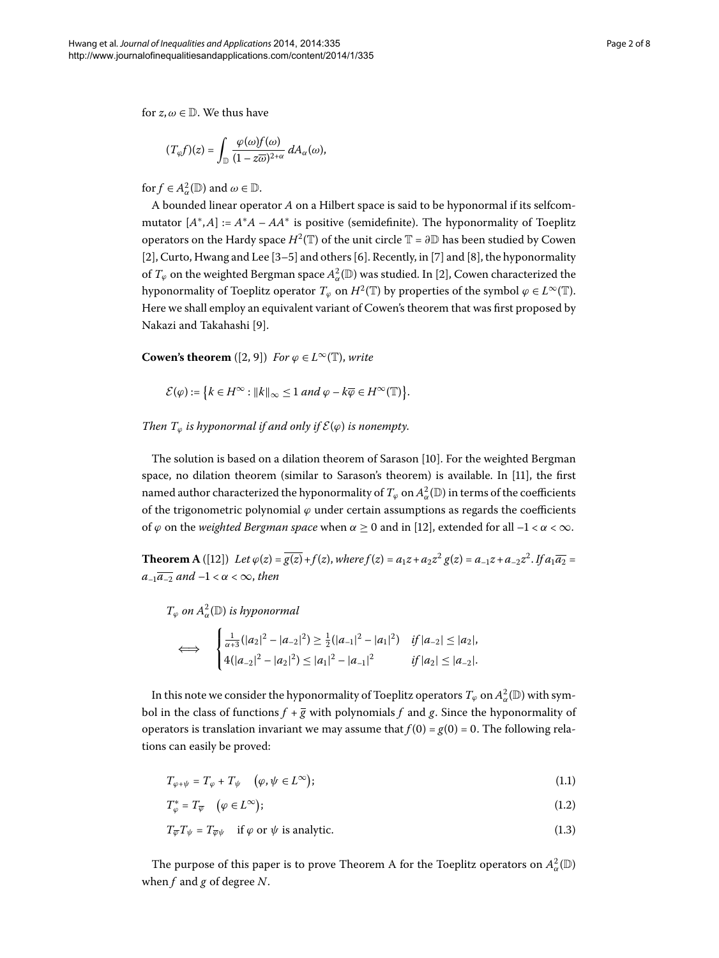for  $z, \omega \in \mathbb{D}$ . We thus have

$$
(T_{\varphi}f)(z) = \int_{\mathbb{D}} \frac{\varphi(\omega)f(\omega)}{(1 - z\overline{\omega})^{2+\alpha}} dA_{\alpha}(\omega),
$$

for  $f \in A^2_\alpha(\mathbb{D})$  and  $\omega \in \mathbb{D}$ .

A bounded linear operator *A* on a Hilbert space is said to be hyponormal if its selfcommutator  $[A^*,A] := A^*A - AA^*$  is positive (semidefinite). The hyponormality of Toeplitz operators on the Hardy space  $H^2(\mathbb{T})$  of the unit circle  $\mathbb{T} = \partial \mathbb{D}$  has been studied by Cowen [2[\]](#page-6-5), Curto, Hwang and Lee  $[3-5]$  $[3-5]$  and others  $[6]$ . Recently, in  $[7]$  and  $[8]$ , the hyponormality of  $T_{\varphi}$  on the weighted Bergman space  $A^2_{\alpha}(\mathbb{D})$  was studied. In [2[\]](#page-6-3), Cowen characterized the hyponormality of Toeplitz operator  $T_{\varphi}$  on  $H^2(\mathbb{T})$  by properties of the symbol  $\varphi \in L^{\infty}(\mathbb{T})$ . Here we shall employ an equivalent variant of Cowen's theorem that was first proposed by Nakazi and Takahashi [9].

**Cowen's theorem** ([\[](#page-6-3)2, 9]) *For*  $\varphi \in L^{\infty}(\mathbb{T})$ , *write* 

$$
\mathcal{E}(\varphi) := \left\{ k \in H^{\infty} : ||k||_{\infty} \leq 1 \text{ and } \varphi - k\overline{\varphi} \in H^{\infty}(\mathbb{T}) \right\}.
$$

*Then*  $T_{\varphi}$  *is hyponormal if and only if*  $\mathcal{E}(\varphi)$  *is nonempty.* 

<span id="page-1-0"></span>The solution is based on a dilation theorem of Sarason  $[10]$  $[10]$ . For the weighted Bergman space, no dilation theorem (similar to Sarason's theorem) is available. In [11], the first named author characterized the hyponormality of  $T_{\varphi}$  on  $A^2_{\alpha}(\mathbb{D})$  in terms of the coefficients of the trigonometric polynomial  $\varphi$  under certain assumptions as regards the coefficients of  $\varphi$  on the *weighted Bergman space* when  $\alpha \ge 0$  and in [\[](#page-6-12)12], extended for all  $-1 < \alpha < \infty$ .

**Theorem A** ([\[](#page-6-12)12]) Let  $\varphi(z) = \overline{g(z)} + f(z)$ , where  $f(z) = a_1z + a_2z^2$   $g(z) = a_{-1}z + a_{-2}z^2$ . If  $a_1\overline{a_2} =$  $a_{-1}\overline{a_{-2}}$  and  $-1 < \alpha < \infty$ , then

 $T_{\varphi}$  *on*  $A^2_{\alpha}(\mathbb{D})$  *is hyponormal* 

$$
\iff \begin{cases} \frac{1}{\alpha+3}(|a_2|^2 - |a_{-2}|^2) \geq \frac{1}{2}(|a_{-1}|^2 - |a_1|^2) & \text{if } |a_{-2}| \leq |a_2|, \\ 4(|a_{-2}|^2 - |a_2|^2) \leq |a_1|^2 - |a_{-1}|^2 & \text{if } |a_2| \leq |a_{-2}|. \end{cases}
$$

In this note we consider the hyponormality of Toeplitz operators  $T_{\varphi}$  on  $A^2_{\alpha}(\mathbb{D})$  with symbol in the class of functions  $f + \overline{g}$  with polynomials  $f$  and  $g$ . Since the hyponormality of operators is translation invariant we may assume that  $f(0) = g(0) = 0$ . The following relations can easily be proved:

$$
T_{\varphi+\psi} = T_{\varphi} + T_{\psi} \quad (\varphi, \psi \in L^{\infty}); \tag{1.1}
$$

$$
T_{\varphi}^* = T_{\overline{\varphi}} \quad (\varphi \in L^{\infty}); \tag{1.2}
$$

$$
T_{\overline{\varphi}}T_{\psi} = T_{\overline{\varphi}\psi} \quad \text{if } \varphi \text{ or } \psi \text{ is analytic.}
$$
 (1.3)

The purpose of this paper is to prove Theorem [A](#page-1-0) for the Toeplitz operators on  $A^2_\alpha(\mathbb{D})$ when *f* and *g* of degree *N*.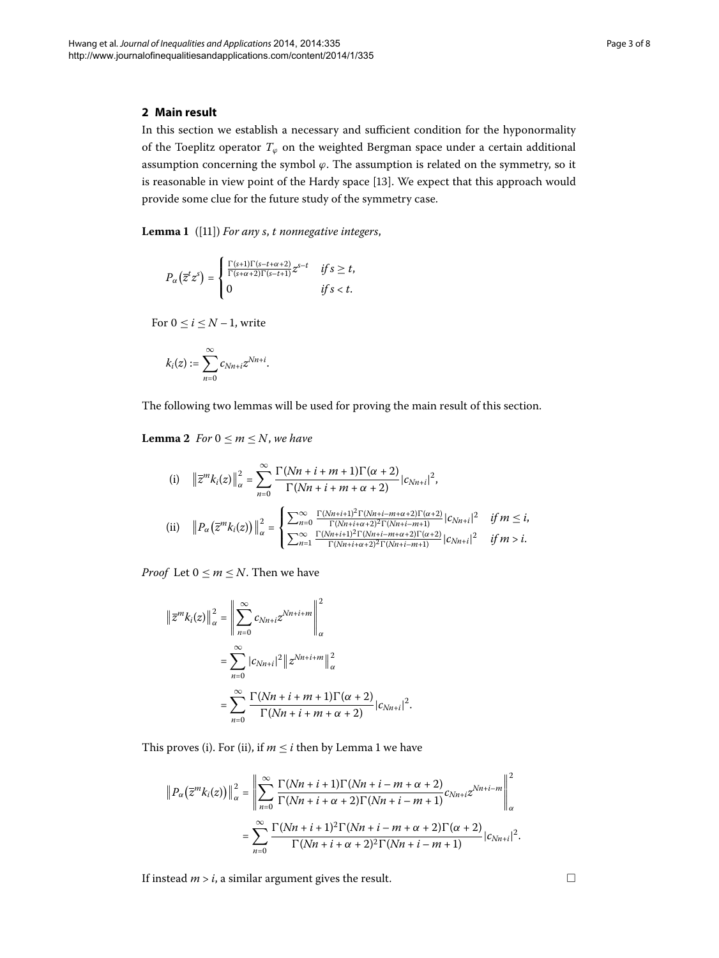## <span id="page-2-0"></span>**2 Main result**

In this section we establish a necessary and sufficient condition for the hyponormality of the Toeplitz operator  $T_{\varphi}$  on the weighted Bergman space under a certain additional assumption concerning the symbol *ϕ*. The assumption is related on the symmetry, so it is reasonable in view point of the Hardy space [\[](#page-6-13)13]. We expect that this approach would provide some clue for the future study of the symmetry case.

**Lemma**  ([]) *For any s*, *t nonnegative integers*,

$$
P_{\alpha}\left(\overline{z}^{t}z^{s}\right)=\begin{cases}\frac{\Gamma(s+1)\Gamma(s-t+\alpha+2)}{\Gamma(s+\alpha+2)\Gamma(s-t+1)}z^{s-t} & \text{if } s \geq t, \\ 0 & \text{if } s < t.\end{cases}
$$

<span id="page-2-1"></span>For  $0 \le i \le N-1$ , write

$$
k_i(z):=\sum_{n=0}^\infty c_{Nn+i}z^{Nn+i}.
$$

The following two lemmas will be used for proving the main result of this section.

**Lemma 2** *For*  $0 \le m \le N$ *, we have* 

(i) 
$$
||\overline{z}^m k_i(z)||_{\alpha}^2 = \sum_{n=0}^{\infty} \frac{\Gamma(Nn+i+m+1)\Gamma(\alpha+2)}{\Gamma(Nn+i+m+\alpha+2)} |c_{Nn+i}|^2,
$$
  
\n(ii)  $||P_{\alpha}(\overline{z}^m k_i(z))||_{\alpha}^2 = \begin{cases} \sum_{n=0}^{\infty} \frac{\Gamma(Nn+i+1)^2 \Gamma(Nn+i-m+\alpha+2) \Gamma(\alpha+2)}{\Gamma(Nn+i+\alpha+2)^2 \Gamma(Nn+i-m+1)} |c_{Nn+i}|^2 & \text{if } m \le i, \\ \sum_{n=1}^{\infty} \frac{\Gamma(Nn+i+1)^2 \Gamma(Nn+i-m+\alpha+2) \Gamma(\alpha+2)}{\Gamma(Nn+i+\alpha+2)^2 \Gamma(Nn+i-m+1)} |c_{Nn+i}|^2 & \text{if } m > i. \end{cases}$ 

*Proof* Let  $0 \le m \le N$ . Then we have

$$
\|\overline{z}^m k_i(z)\|_{\alpha}^2 = \left\|\sum_{n=0}^{\infty} c_{Nn+i} z^{Nn+i+m}\right\|_{\alpha}^2
$$

$$
= \sum_{n=0}^{\infty} |c_{Nn+i}|^2 \|z^{Nn+i+m}\|_{\alpha}^2
$$

$$
= \sum_{n=0}^{\infty} \frac{\Gamma(Nn+i+m+1)\Gamma(\alpha+2)}{\Gamma(Nn+i+m+\alpha+2)} |c_{Nn+i}|^2.
$$

This proves (i). For (ii), if  $m \le i$  then by Lemma 1 we have

$$
\|P_{\alpha}\left(\overline{z}^{m}k_{i}(z)\right)\|_{\alpha}^{2} = \left\|\sum_{n=0}^{\infty} \frac{\Gamma(Nn+i+1)\Gamma(Nn+i-m+\alpha+2)}{\Gamma(Nn+i+\alpha+2)\Gamma(Nn+i-m+1)}c_{Nn+i}z^{Nn+i-m}\right\|_{\alpha}^{2}
$$

$$
= \sum_{n=0}^{\infty} \frac{\Gamma(Nn+i+1)^{2}\Gamma(Nn+i-m+\alpha+2)\Gamma(\alpha+2)}{\Gamma(Nn+i+\alpha+2)^{2}\Gamma(Nn+i-m+1)}|c_{Nn+i}|^{2}.
$$

If instead  $m > i$ , a similar argument gives the result.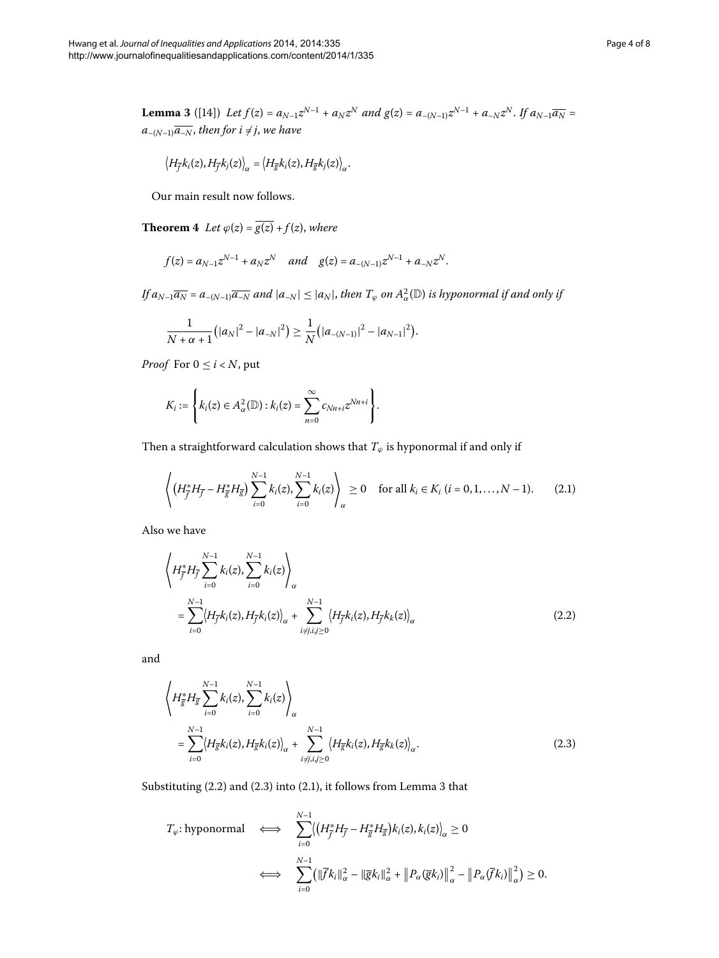<span id="page-3-3"></span>**Lemma 3** ([\[](#page-7-0)14]) Let  $f(z) = a_{N-1}z^{N-1} + a_Nz^N$  and  $g(z) = a_{-(N-1)}z^{N-1} + a_{-N}z^N$ . If  $a_{N-1}\overline{a_N} =$  $a_{-(N-1)}\overline{a_{-N}}$ , then for  $i \neq j$ , we have

$$
\left\langle H_{\overline{f}}k_i(z),H_{\overline{f}}k_j(z)\right\rangle_\alpha=\left\langle H_{\overline{g}}k_i(z),H_{\overline{g}}k_j(z)\right\rangle_\alpha.
$$

Our main result now follows.

**Theorem 4** Let  $\varphi(z) = \overline{g(z)} + f(z)$ , where

$$
f(z) = a_{N-1}z^{N-1} + a_Nz^N
$$
 and  $g(z) = a_{-(N-1)}z^{N-1} + a_{-N}z^N$ .

 $If$   $a_{N-1}\overline{a_{N}} = a_{-(N-1)}\overline{a_{-N}}$  and  $|a_{-N}| \leq |a_{N}|$ , then  $T_{\varphi}$  on  $A^2_{\alpha}(\mathbb{D})$  is hyponormal if and only if

$$
\frac{1}{N+\alpha+1}(|a_N|^2-|a_{-N}|^2)\geq \frac{1}{N}(|a_{-(N-1)}|^2-|a_{N-1}|^2).
$$

*Proof* For  $0 \le i \le N$ , put

<span id="page-3-2"></span>
$$
K_i := \left\{ k_i(z) \in A_\alpha^2(\mathbb{D}) : k_i(z) = \sum_{n=0}^\infty c_{Nn+i} z^{Nn+i} \right\}.
$$

Then a straightforward calculation shows that  $T_{\varphi}$  is hyponormal if and only if

<span id="page-3-0"></span>
$$
\left\langle \left(H_{\overline{f}}^* H_{\overline{f}} - H_{\overline{g}}^* H_{\overline{g}}\right) \sum_{i=0}^{N-1} k_i(z), \sum_{i=0}^{N-1} k_i(z) \right\rangle_{\alpha} \ge 0 \quad \text{for all } k_i \in K_i \ (i = 0, 1, ..., N-1). \tag{2.1}
$$

Also we have

$$
\left\langle H_{\bar{f}}^{*} H_{\bar{f}} \sum_{i=0}^{N-1} k_{i}(z), \sum_{i=0}^{N-1} k_{i}(z) \right\rangle_{\alpha} = \sum_{i=0}^{N-1} \left\langle H_{\bar{f}} k_{i}(z), H_{\bar{f}} k_{i}(z) \right\rangle_{\alpha} + \sum_{i \neq j, i, j \geq 0}^{N-1} \left\langle H_{\bar{f}} k_{i}(z), H_{\bar{f}} k_{k}(z) \right\rangle_{\alpha}
$$
\n(2.2)

and

<span id="page-3-1"></span>
$$
\left\langle H_{\overline{g}}^{*} H_{\overline{g}} \sum_{i=0}^{N-1} k_{i}(z), \sum_{i=0}^{N-1} k_{i}(z) \right\rangle_{\alpha} = \sum_{i=0}^{N-1} \left\langle H_{\overline{g}} k_{i}(z), H_{\overline{g}} k_{i}(z) \right\rangle_{\alpha} + \sum_{i \neq j, i, j \geq 0}^{N-1} \left\langle H_{\overline{g}} k_{i}(z), H_{\overline{g}} k_{k}(z) \right\rangle_{\alpha}.
$$
\n(2.3)

Substituting  $(2.2)$  $(2.2)$  $(2.2)$  and  $(2.3)$  into  $(2.1)$ , it follows from Lemma 3 that

$$
T_{\varphi}: \text{hyponormal} \quad \Longleftrightarrow \quad \sum_{i=0}^{N-1} \langle \left( H_{\overline{f}}^* H_{\overline{f}} - H_{\overline{g}}^* H_{\overline{g}} \right) k_i(z), k_i(z) \rangle_{\alpha} \ge 0
$$
\n
$$
\iff \quad \sum_{i=0}^{N-1} \left( \|\overline{f} k_i\|_{\alpha}^2 - \|\overline{g} k_i\|_{\alpha}^2 + \|P_{\alpha}(\overline{g} k_i)\|_{\alpha}^2 - \|P_{\alpha}(\overline{f} k_i)\|_{\alpha}^2 \right) \ge 0.
$$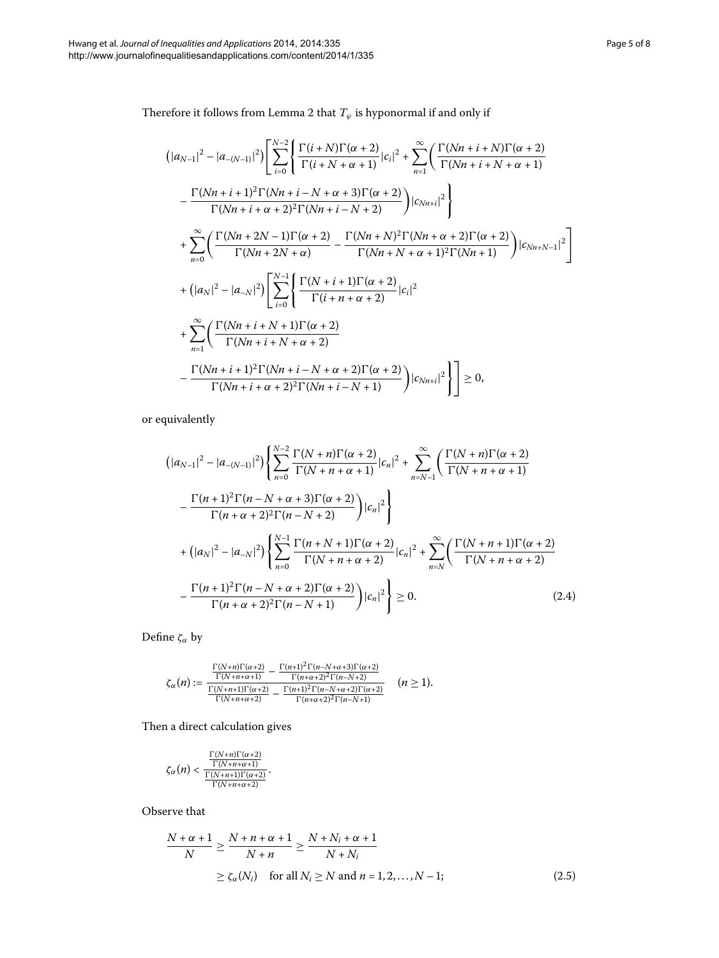Therefore it follows from Lemma 2 that  $T_\varphi$  is hyponormal if and only if

$$
\begin{split}\n & \left( |a_{N-1}|^2 - |a_{-(N-1)}|^2 \right) \left[ \sum_{i=0}^{N-2} \left\{ \frac{\Gamma(i+N)\Gamma(\alpha+2)}{\Gamma(i+N+\alpha+1)} |c_i|^2 + \sum_{n=1}^{\infty} \left( \frac{\Gamma(Nn+i+N)\Gamma(\alpha+2)}{\Gamma(Nn+i+N+\alpha+1)} \right) \right. \\
& \left. - \frac{\Gamma(Nn+i+1)^2 \Gamma(Nn+i-N+\alpha+3) \Gamma(\alpha+2)}{\Gamma(Nn+i+N+2)^2 \Gamma(Nn+i-N+2)} \right) |c_{Nn+i}|^2 \right\} \\
& + \sum_{n=0}^{\infty} \left( \frac{\Gamma(Nn+2N-1)\Gamma(\alpha+2)}{\Gamma(Nn+2N+\alpha)} - \frac{\Gamma(Nn+N)^2 \Gamma(Nn+\alpha+2) \Gamma(\alpha+2)}{\Gamma(Nn+N+\alpha+1)^2 \Gamma(Nn+1)} \right) |c_{Nn+N-1}|^2 \right] \\
& + \left( |a_N|^2 - |a_{-N}|^2 \right) \left[ \sum_{i=0}^{N-1} \left\{ \frac{\Gamma(N+i+1)\Gamma(\alpha+2)}{\Gamma(i+n+\alpha+2)} |c_i|^2 \right. \\
& \left. + \sum_{n=1}^{\infty} \left( \frac{\Gamma(Nn+i+N+1)\Gamma(\alpha+2)}{\Gamma(Nn+i+N+\alpha+2)} - \frac{\Gamma(Nn+i+1)^2 \Gamma(Nn+i-N+\alpha+2) \Gamma(\alpha+2)}{\Gamma(Nn+i+N+2)^2 \Gamma(Nn+i-N+1)} \right) |c_{Nn+i}|^2 \right\} \right] \ge 0,\n \end{split}
$$

or equivalently

<span id="page-4-0"></span>
$$
\left(|a_{N-1}|^2 - |a_{-(N-1)}|^2\right) \left\{ \sum_{n=0}^{N-2} \frac{\Gamma(N+n)\Gamma(\alpha+2)}{\Gamma(N+n+\alpha+1)} |c_n|^2 + \sum_{n=N-1}^{\infty} \left(\frac{\Gamma(N+n)\Gamma(\alpha+2)}{\Gamma(N+n+\alpha+1)} - \frac{\Gamma(n+1)^2 \Gamma(n-N+\alpha+3)\Gamma(\alpha+2)}{\Gamma(n+\alpha+2)^2 \Gamma(n-N+2)}\right) |c_n|^2 \right\}
$$
  
+ 
$$
\left(|a_N|^2 - |a_{-N}|^2\right) \left\{ \sum_{n=0}^{N-1} \frac{\Gamma(n+N+1)\Gamma(\alpha+2)}{\Gamma(N+n+\alpha+2)} |c_n|^2 + \sum_{n=N}^{\infty} \left(\frac{\Gamma(N+n+1)\Gamma(\alpha+2)}{\Gamma(N+n+\alpha+2)} - \frac{\Gamma(n+1)^2 \Gamma(n-N+\alpha+2)\Gamma(\alpha+2)}{\Gamma(n+\alpha+2)^2 \Gamma(n-N+1)}\right) |c_n|^2 \right\} \ge 0.
$$
 (2.4)

Define *ζα* by

$$
\zeta_{\alpha}(n):=\frac{\frac{\Gamma(N+n)\Gamma(\alpha+2)}{\Gamma(N+n+\alpha+1)}-\frac{\Gamma(n+1)^2\Gamma(n-N+\alpha+3)\Gamma(\alpha+2)}{\Gamma(n+\alpha+2)^2\Gamma(n-N+2)}}{\frac{\Gamma(N+n+1)\Gamma(\alpha+2)}{\Gamma(N+n+\alpha+2)}-\frac{\Gamma(n+1)^2\Gamma(n-N+\alpha+2)\Gamma(\alpha+2)}{\Gamma(n+\alpha+2)^2\Gamma(n-N+1)}}\quad(n\ge1).
$$

Then a direct calculation gives

<span id="page-4-1"></span>
$$
\zeta_{\alpha}(n) < \frac{\frac{\Gamma(N+n)\Gamma(\alpha+2)}{\Gamma(N+n+\alpha+1)}}{\frac{\Gamma(N+n+1)\Gamma(\alpha+2)}{\Gamma(N+n+\alpha+2)}}.
$$

Observe that

$$
\frac{N+\alpha+1}{N} \ge \frac{N+n+\alpha+1}{N+n} \ge \frac{N+N_i+\alpha+1}{N+N_i}
$$
  
 
$$
\ge \zeta_{\alpha}(N_i) \quad \text{for all } N_i \ge N \text{ and } n=1,2,\dots,N-1; \tag{2.5}
$$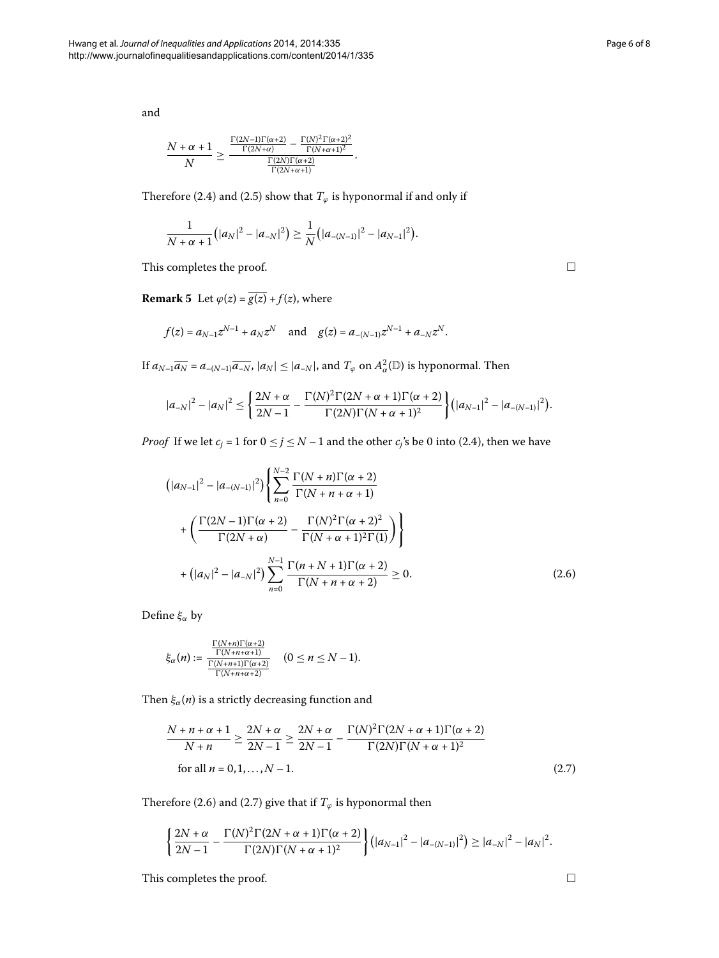and

$$
\frac{N+\alpha+1}{N} \geq \frac{\frac{\Gamma(2N-1)\Gamma(\alpha+2)}{\Gamma(2N+\alpha)} - \frac{\Gamma(N)^2\Gamma(\alpha+2)^2}{\Gamma(N+\alpha+1)^2}}{\frac{\Gamma(2N)\Gamma(\alpha+2)}{\Gamma(2N+\alpha+1)}}.
$$

<span id="page-5-2"></span>Therefore (2.4) and (2.5) show that  $T_{\varphi}$  is hyponormal if and only if

$$
\frac{1}{N+\alpha+1} (|a_N|^2 - |a_{-N}|^2) \geq \frac{1}{N} (|a_{-(N-1)}|^2 - |a_{N-1}|^2).
$$

This completes the proof.

**Remark 5** Let  $\varphi(z) = \overline{g(z)} + f(z)$ , where

$$
f(z) = a_{N-1}z^{N-1} + a_Nz^N
$$
 and  $g(z) = a_{-(N-1)}z^{N-1} + a_{-N}z^N$ .

If  $a_{N-1}\overline{a_N} = a_{-(N-1)}\overline{a_{-N}}$ ,  $|a_N| \le |a_{-N}|$ , and  $T_\varphi$  on  $A_\alpha^2(\mathbb{D})$  is hyponormal. Then

$$
|a_{-N}|^2 - |a_N|^2 \le \left\{ \frac{2N + \alpha}{2N - 1} - \frac{\Gamma(N)^2 \Gamma(2N + \alpha + 1)\Gamma(\alpha + 2)}{\Gamma(2N)\Gamma(N + \alpha + 1)^2} \right\} (|a_{N-1}|^2 - |a_{-(N-1)}|^2).
$$

*Proof* If we let  $c_j = 1$  for  $0 \le j \le N - 1$  and the other  $c_j$ 's be 0 into (2.4), then we have

$$
\left(|a_{N-1}|^2 - |a_{-(N-1)}|^2\right) \left\{\sum_{n=0}^{N-2} \frac{\Gamma(N+n)\Gamma(\alpha+2)}{\Gamma(N+n+\alpha+1)} + \left(\frac{\Gamma(2N-1)\Gamma(\alpha+2)}{\Gamma(2N+\alpha)} - \frac{\Gamma(N)^2\Gamma(\alpha+2)^2}{\Gamma(N+\alpha+1)^2\Gamma(1)}\right)\right\}
$$
  
+ 
$$
\left(|a_N|^2 - |a_{-N}|^2\right) \sum_{n=0}^{N-1} \frac{\Gamma(n+N+1)\Gamma(\alpha+2)}{\Gamma(N+n+\alpha+2)} \ge 0.
$$
 (2.6)

Define *ξα* by

<span id="page-5-1"></span>
$$
\xi_{\alpha}(n):=\frac{\frac{\Gamma(N+n)\Gamma(\alpha+2)}{\Gamma(N+n+\alpha+1)}}{\frac{\Gamma(N+n+\alpha+1)\Gamma(\alpha+2)}{\Gamma(N+n+\alpha+2)}}\quad(0\leq n\leq N-1).
$$

Then  $\xi_{\alpha}(n)$  is a strictly decreasing function and

$$
\frac{N + n + \alpha + 1}{N + n} \ge \frac{2N + \alpha}{2N - 1} \ge \frac{2N + \alpha}{2N - 1} - \frac{\Gamma(N)^2 \Gamma(2N + \alpha + 1)\Gamma(\alpha + 2)}{\Gamma(2N)\Gamma(N + \alpha + 1)^2}
$$
  
for all  $n = 0, 1, ..., N - 1$ . (2.7)

Therefore (2.6) and (2.7) give that if  $T_{\varphi}$  is hyponormal then

$$
\left\{\frac{2N+\alpha}{2N-1}-\frac{\Gamma(N)^2\Gamma(2N+\alpha+1)\Gamma(\alpha+2)}{\Gamma(2N)\Gamma(N+\alpha+1)^2}\right\}\left(|a_{N-1}|^2-|a_{-(N-1)}|^2\right)\geq |a_{-N}|^2-|a_N|^2.
$$

This completes the proof.  $\hfill \square$ 

<span id="page-5-0"></span> $\Box$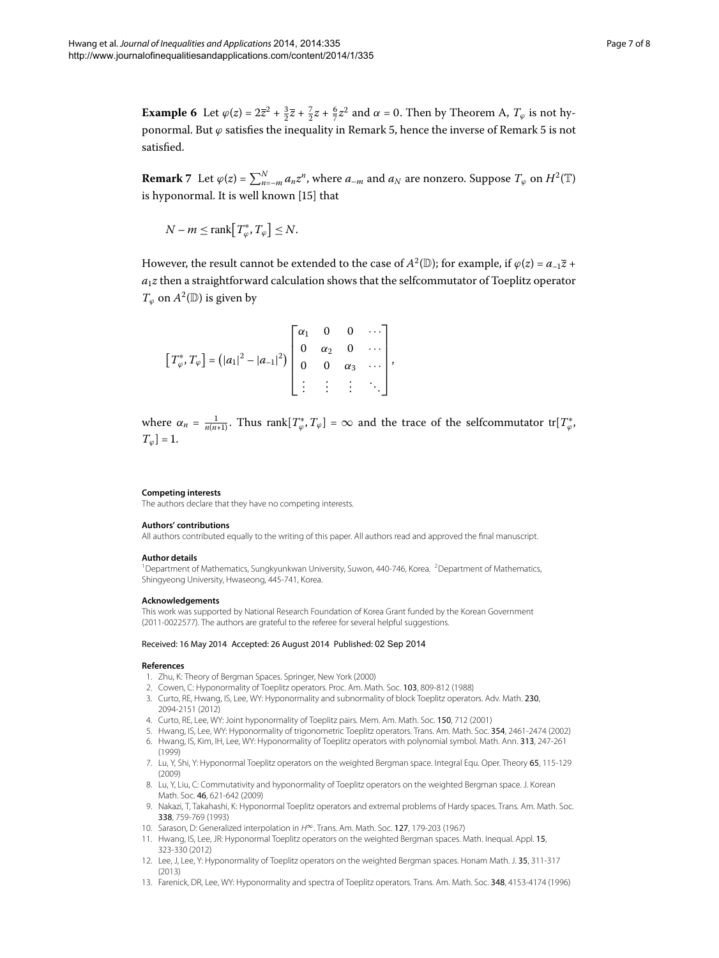**Example 6** Let  $\varphi(z) = 2\overline{z}^2 + \frac{3}{2}\overline{z} + \frac{7}{2}z + \frac{6}{7}z^2$  and  $\alpha = 0$ . Then by Theorem [A,](#page-1-0)  $T_{\varphi}$  is not hyponormal. But  $\varphi$  satisfies the inequality in Remark 5, hence the inverse of Remark 5 is not satisfied.

**Remark**  $7$  Let  $\varphi(z) = \sum_{n=-m}^{N} a_n z^n$ , where  $a_{-m}$  and  $a_N$  are nonzero. Suppose  $T_{\varphi}$  on  $H^2(\mathbb{T})$ is hyponormal. It is well known [\[](#page-7-1)15] that

$$
N - m \leq \text{rank}\big[T_{\varphi}^*, T_{\varphi}\big] \leq N.
$$

However, the result cannot be extended to the case of  $A^2(\mathbb{D})$ ; for example, if  $\varphi(z) = a_{-1}\overline{z}$  +  $a_1z$  then a straightforward calculation shows that the selfcommutator of Toeplitz operator *T*<sup> $\phi$ </sup> on *A*<sup>2</sup>(D) is given by

$$
\left[T_{\varphi}^{*}, T_{\varphi}\right] = \left(|a_{1}|^{2} - |a_{-1}|^{2}\right) \begin{bmatrix} \alpha_{1} & 0 & 0 & \cdots \\ 0 & \alpha_{2} & 0 & \cdots \\ 0 & 0 & \alpha_{3} & \cdots \\ \vdots & \vdots & \vdots & \ddots \end{bmatrix},
$$

<span id="page-6-1"></span><span id="page-6-0"></span>where  $\alpha_n = \frac{1}{n(n+1)}$ . Thus rank $[T^*_{\varphi}, T_{\varphi}] = \infty$  and the trace of the selfcommutator tr $[T^*_{\varphi}, T_{\varphi}] = \infty$  $T_\varphi$ ] = 1.

#### **Competing interests**

The authors declare that they have no competing interests.

#### **Authors' contributions**

All authors contributed equally to the writing of this paper. All authors read and approved the final manuscript.

#### **Author details**

<span id="page-6-3"></span><span id="page-6-2"></span><sup>1</sup> Department of Mathematics, Sungkyunkwan University, Suwon, 440-746, Korea. <sup>2</sup> Department of Mathematics, Shingyeong University, Hwaseong, 445-741, Korea.

#### <span id="page-6-4"></span>**Acknowledgements**

<span id="page-6-5"></span>This work was supported by National Research Foundation of Korea Grant funded by the Korean Government (2011-0022577). The authors are grateful to the referee for several helpful suggestions.

#### <span id="page-6-7"></span><span id="page-6-6"></span>Received: 16 May 2014 Accepted: 26 August 2014 Published: 02 Sep 2014

#### <span id="page-6-8"></span>**References**

- 1. Zhu, K: Theory of Bergman Spaces. Springer, New York (2000)
- 2. Cowen, C: Hyponormality of Toeplitz operators. Proc. Am. Math. Soc. 103, 809-812 (1988)
- <span id="page-6-9"></span>3. Curto, RE, Hwang, IS, Lee, WY: Hyponormality and subnormality of block Toeplitz operators. Adv. Math. 230, 2094-2151 (2012)
- <span id="page-6-11"></span><span id="page-6-10"></span>4. Curto, RE, Lee, WY: Joint hyponormality of Toeplitz pairs. Mem. Am. Math. Soc. 150, 712 (2001)
- 5. Hwang, IS, Lee, WY: Hyponormality of trigonometric Toeplitz operators. Trans. Am. Math. Soc. 354, 2461-2474 (2002)
- <span id="page-6-12"></span>6. Hwang, IS, Kim, IH, Lee, WY: Hyponormality of Toeplitz operators with polynomial symbol. Math. Ann. 313, 247-261 (1999)
- <span id="page-6-13"></span>7. Lu, Y, Shi, Y: Hyponormal Toeplitz operators on the weighted Bergman space. Integral Equ. Oper. Theory 65, 115-129 (2009)
- 8. Lu, Y, Liu, C: Commutativity and hyponormality of Toeplitz operators on the weighted Bergman space. J. Korean Math. Soc. 46, 621-642 (2009)
- 9. Nakazi, T, Takahashi, K: Hyponormal Toeplitz operators and extremal problems of Hardy spaces. Trans. Am. Math. Soc. 338, 759-769 (1993)
- 10. Sarason, D: Generalized interpolation in H∞. Trans. Am. Math. Soc. 127, 179-203 (1967)
- 11. Hwang, IS, Lee, JR: Hyponormal Toeplitz operators on the weighted Bergman spaces. Math. Inequal. Appl. 15, 323-330 (2012)
- 12. Lee, J, Lee, Y: Hyponormality of Toeplitz operators on the weighted Bergman spaces. Honam Math. J. 35, 311-317 (2013)
- 13. Farenick, DR, Lee, WY: Hyponormality and spectra of Toeplitz operators. Trans. Am. Math. Soc. 348, 4153-4174 (1996)